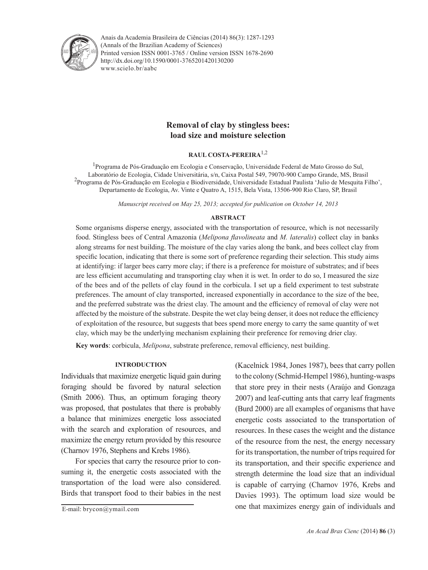

Anais da Academia Brasileira de Ciências (2014) 86(3): 1287-1293(Annals of the Brazilian Academy of Sciences) Printed version ISSN 0001-3765 / Online version ISSN 1678-2690 www.scielo.br/aabc http://dx.doi.org/10.1590/0001-3765201420130200

# **Removal of clay by stingless bees: load size and moisture selection**

## **RAUL COSTA-PEREIRA**1,2

<sup>1</sup>Programa de Pós-Graduação em Ecologia e Conservação, Universidade Federal de Mato Grosso do Sul, Laboratório de Ecologia, Cidade Universitária, s/n, Caixa Postal 549, 79070-900 Campo Grande, MS, Brasil <sup>2</sup> Programa de Pós-Graduação em Ecologia e Biodiversidade, Universidade Estadual Paulista 'Julio de Mesquita Filho', Departamento de Ecologia, Av. Vinte e Quatro A, 1515, Bela Vista, 13506-900 Rio Claro, SP, Brasil

*Manuscript received on May 25, 2013; accepted for publication on October 14, 2013*

# **ABSTRACT**

Some organisms disperse energy, associated with the transportation of resource, which is not necessarily food. Stingless bees of Central Amazonia (*Melipona flavolineata* and *M. lateralis*) collect clay in banks along streams for nest building. The moisture of the clay varies along the bank, and bees collect clay from specific location, indicating that there is some sort of preference regarding their selection. This study aims at identifying: if larger bees carry more clay; if there is a preference for moisture of substrates; and if bees are less efficient accumulating and transporting clay when it is wet. In order to do so, I measured the size of the bees and of the pellets of clay found in the corbicula. I set up a field experiment to test substrate preferences. The amount of clay transported, increased exponentially in accordance to the size of the bee, and the preferred substrate was the driest clay. The amount and the efficiency of removal of clay were not affected by the moisture of the substrate. Despite the wet clay being denser, it does not reduce the efficiency of exploitation of the resource, but suggests that bees spend more energy to carry the same quantity of wet clay, which may be the underlying mechanism explaining their preference for removing drier clay.

**Key words**: corbicula, *Melipona*, substrate preference, removal efficiency, nest building.

## **INTRODUCTION**

Individuals that maximize energetic liquid gain during foraging should be favored by natural selection (Smith 2006). Thus, an optimum foraging theory was proposed, that postulates that there is probably a balance that minimizes energetic loss associated with the search and exploration of resources, and maximize the energy return provided by this resource (Charnov 1976, Stephens and Krebs 1986).

For species that carry the resource prior to consuming it, the energetic costs associated with the transportation of the load were also considered. Birds that transport food to their babies in the nest

E-mail: brycon@ymail.com

(Kacelnick 1984, Jones 1987), bees that carry pollen to the colony (Schmid-Hempel 1986), hunting-wasps that store prey in their nests (Araújo and Gonzaga 2007) and leaf-cutting ants that carry leaf fragments (Burd 2000) are all examples of organisms that have energetic costs associated to the transportation of resources. In these cases the weight and the distance of the resource from the nest, the energy necessary for its transportation, the number of trips required for its transportation, and their specific experience and strength determine the load size that an individual is capable of carrying (Charnov 1976, Krebs and Davies 1993). The optimum load size would be one that maximizes energy gain of individuals and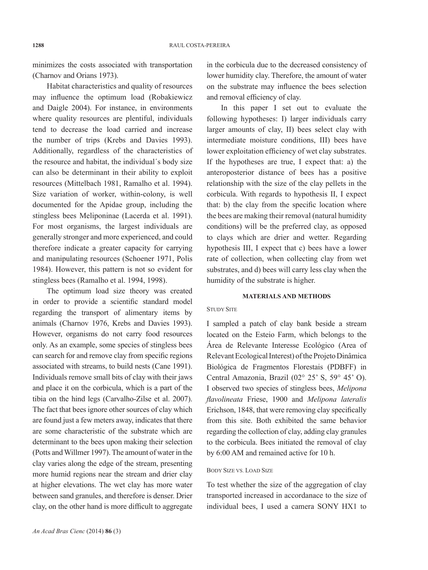minimizes the costs associated with transportation (Charnov and Orians 1973).

Habitat characteristics and quality of resources may influence the optimum load (Robakiewicz and Daigle 2004). For instance, in environments where quality resources are plentiful, individuals tend to decrease the load carried and increase the number of trips (Krebs and Davies 1993). Additionally, regardless of the characteristics of the resource and habitat, the individual´s body size can also be determinant in their ability to exploit resources (Mittelbach 1981, Ramalho et al. 1994). Size variation of worker, within-colony, is well documented for the Apidae group, including the stingless bees Meliponinae (Lacerda et al. 1991). For most organisms, the largest individuals are generally stronger and more experienced, and could therefore indicate a greater capacity for carrying and manipulating resources (Schoener 1971, Polis 1984). However, this pattern is not so evident for stingless bees (Ramalho et al. 1994, 1998).

The optimum load size theory was created in order to provide a scientific standard model regarding the transport of alimentary items by animals (Charnov 1976, Krebs and Davies 1993). However, organisms do not carry food resources only. As an example, some species of stingless bees can search for and remove clay from specific regions associated with streams, to build nests (Cane 1991). Individuals remove small bits of clay with their jaws and place it on the corbicula, which is a part of the tibia on the hind legs (Carvalho-Zilse et al. 2007). The fact that bees ignore other sources of clay which are found just a few meters away, indicates that there are some characteristic of the substrate which are determinant to the bees upon making their selection (Potts and Willmer 1997). The amount of water in the clay varies along the edge of the stream, presenting more humid regions near the stream and drier clay at higher elevations. The wet clay has more water between sand granules, and therefore is denser. Drier clay, on the other hand is more difficult to aggregate

in the corbicula due to the decreased consistency of lower humidity clay. Therefore, the amount of water on the substrate may influence the bees selection and removal efficiency of clay.

In this paper I set out to evaluate the following hypotheses: I) larger individuals carry larger amounts of clay, II) bees select clay with intermediate moisture conditions, III) bees have lower exploitation efficiency of wet clay substrates. If the hypotheses are true, I expect that: a) the anteroposterior distance of bees has a positive relationship with the size of the clay pellets in the corbicula. With regards to hypothesis II, I expect that: b) the clay from the specific location where the bees are making their removal (natural humidity conditions) will be the preferred clay, as opposed to clays which are drier and wetter. Regarding hypothesis III, I expect that c) bees have a lower rate of collection, when collecting clay from wet substrates, and d) bees will carry less clay when the humidity of the substrate is higher.

## **MATERIALS AND METHODS**

#### STUDY SITE

I sampled a patch of clay bank beside a stream located on the Esteio Farm, which belongs to the Área de Relevante Interesse Ecológico (Area of Relevant Ecological Interest) of the Projeto Dinâmica Biológica de Fragmentos Florestais (PDBFF) in Central Amazonia, Brazil (02° 25' S, 59° 45' O). I observed two species of stingless bees, *Melipona flavolineata* Friese, 1900 and *Melipona lateralis*  Erichson, 1848, that were removing clay specifically from this site. Both exhibited the same behavior regarding the collection of clay, adding clay granules to the corbicula. Bees initiated the removal of clay by 6:00 AM and remained active for 10 h.

# BODY SIZE VS. LOAD SIZE

To test whether the size of the aggregation of clay transported increased in accordanace to the size of individual bees, I used a camera SONY HX1 to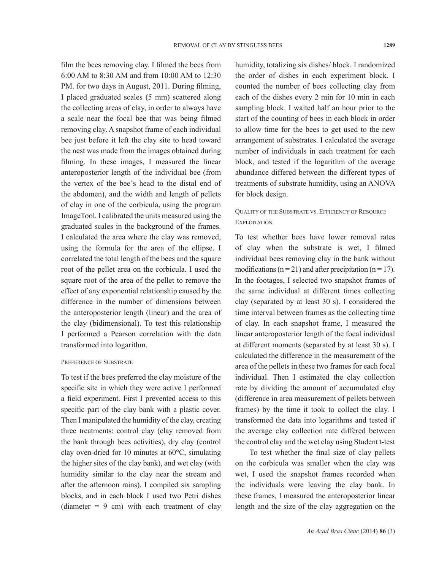film the bees removing clay. I filmed the bees from 6:00 AM to 8:30 AM and from 10:00 AM to 12:30 PM. for two days in August, 2011. During filming, I placed graduated scales (5 mm) scattered along the collecting areas of clay, in order to always have a scale near the focal bee that was being filmed removing clay. A snapshot frame of each individual bee just before it left the clay site to head toward the nest was made from the images obtained during filming. In these images, I measured the linear anteroposterior length of the individual bee (from the vertex of the bee´s head to the distal end of the abdomen), and the width and length of pellets of clay in one of the corbicula, using the program ImageTool. I calibrated the units measured using the graduated scales in the background of the frames. I calculated the area where the clay was removed, using the formula for the area of the ellipse. I correlated the total length of the bees and the square root of the pellet area on the corbicula. I used the square root of the area of the pellet to remove the effect of any exponential relationship caused by the difference in the number of dimensions between the anteroposterior length (linear) and the area of the clay (bidimensional). To test this relationship I performed a Pearson correlation with the data transformed into logarithm.

### PREFERENCE OF SUBSTRATE

To test if the bees preferred the clay moisture of the specific site in which they were active I performed a field experiment. First I prevented access to this specific part of the clay bank with a plastic cover. Then I manipulated the humidity of the clay, creating three treatments: control clay (clay removed from the bank through bees activities), dry clay (control clay oven-dried for 10 minutes at 60°C, simulating the higher sites of the clay bank), and wet clay (with humidity similar to the clay near the stream and after the afternoon rains). I compiled six sampling blocks, and in each block I used two Petri dishes (diameter  $= 9$  cm) with each treatment of clay humidity, totalizing six dishes/ block. I randomized the order of dishes in each experiment block. I counted the number of bees collecting clay from each of the dishes every 2 min for 10 min in each sampling block. I waited half an hour prior to the start of the counting of bees in each block in order to allow time for the bees to get used to the new arrangement of substrates. I calculated the average number of individuals in each treatment for each block, and tested if the logarithm of the average abundance differed between the different types of treatments of substrate humidity, using an ANOVA for block design.

# QUALITY OF THE SUBSTRATE VS. EFFICIENCY OF RESOURCE **EXPLOITATION**

To test whether bees have lower removal rates of clay when the substrate is wet, I filmed individual bees removing clay in the bank without modifications ( $n = 21$ ) and after precipitation ( $n = 17$ ). In the footages, I selected two snapshot frames of the same individual at different times collecting clay (separated by at least 30 s). I considered the time interval between frames as the collecting time of clay. In each snapshot frame, I measured the linear anteroposterior length of the focal individual at different moments (separated by at least 30 s). I calculated the difference in the measurement of the area of the pellets in these two frames for each focal individual. Then I estimated the clay collection rate by dividing the amount of accumulated clay (difference in area measurement of pellets between frames) by the time it took to collect the clay. I transformed the data into logarithms and tested if the average clay collection rate differed between the control clay and the wet clay using Student t-test

To test whether the final size of clay pellets on the corbicula was smaller when the clay was wet, I used the snapshot frames recorded when the individuals were leaving the clay bank. In these frames, I measured the anteroposterior linear length and the size of the clay aggregation on the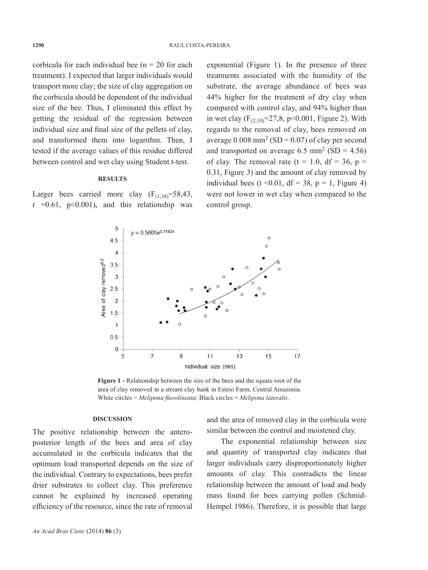corbicula for each individual bee  $(n = 20$  for each treatment). I expected that larger individuals would transport more clay; the size of clay aggregation on the corbicula should be dependent of the individual size of the bee. Thus, I eliminated this effect by getting the residual of the regression between individual size and final size of the pellets of clay, and transformed them into logarithm. Then, I tested if the average values of this residue differed between control and wet clay using Student t-test.

## **RESULTS**

Larger bees carried more clay  $(F_{(1,38)}=58,43)$ ,  $r = 0.61$ ,  $p < 0.001$ ), and this relationship was

exponential (Figure 1). In the presence of three treatments associated with the humidity of the substrate, the average abundance of bees was 44% higher for the treatment of dry clay when compared with control clay, and 94% higher than in wet clay  $(F<sub>(2,10)</sub>=27,8, p<0.001, Figure 2)$ . With regards to the removal of clay, bees removed on average  $0.008$  mm<sup>2</sup> (SD = 0.07) of clay per second and transported on average  $6.5 \text{ mm}^2 \text{ (SD} = 4.56)$ of clay. The removal rate (t = 1.0, df = 36, p = 0.31, Figure 3) and the amount of clay removed by individual bees (t < 0.01, df = 38, p = 1, Figure 4) were not lower in wet clay when compared to the control group.



**Figure 1 -** Relationship between the size of the bees and the square root of the area of clay removed in a stream clay bank in Esteio Farm, Central Amazonia. White circles = *Melipona flavolineata*; Black circles = *Melipona lateralis*.

#### **DISCUSSION**

The positive relationship between the anteroposterior length of the bees and area of clay accumulated in the corbicula indicates that the optimum load transported depends on the size of the individual. Contrary to expectations, bees prefer drier substrates to collect clay. This preference cannot be explained by increased operating efficiency of the resource, since the rate of removal

and the area of removed clay in the corbicula were similar between the control and moistened clay.

The exponential relationship between size and quantity of transported clay indicates that larger individuals carry disproportionately higher amounts of clay. This contradicts the linear relationship between the amount of load and body mass found for bees carrying pollen (Schmid-Hempel 1986). Therefore, it is possible that large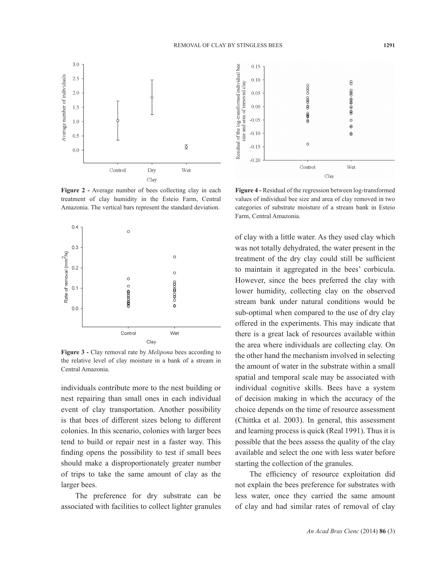

**Figure 2 -** Average number of bees collecting clay in each treatment of clay humidity in the Esteio Farm, Central Amazonia. The vertical bars represent the standard deviation.



**Figure 3 -** Clay removal rate by *Melipona* bees according to the relative level of clay moisture in a bank of a stream in Central Amazonia.

individuals contribute more to the nest building or nest repairing than small ones in each individual event of clay transportation. Another possibility is that bees of different sizes belong to different colonies. In this scenario, colonies with larger bees tend to build or repair nest in a faster way. This finding opens the possibility to test if small bees should make a disproportionately greater number of trips to take the same amount of clay as the larger bees.

The preference for dry substrate can be associated with facilities to collect lighter granules



**Figure 4 -** Residual of the regression between log-transformed values of individual bee size and area of clay removed in two categories of substrate moisture of a stream bank in Esteio Farm, Central Amazonia.

of clay with a little water. As they used clay which was not totally dehydrated, the water present in the treatment of the dry clay could still be sufficient to maintain it aggregated in the bees' corbicula. However, since the bees preferred the clay with lower humidity, collecting clay on the observed stream bank under natural conditions would be sub-optimal when compared to the use of dry clay offered in the experiments. This may indicate that there is a great lack of resources available within the area where individuals are collecting clay. On the other hand the mechanism involved in selecting the amount of water in the substrate within a small spatial and temporal scale may be associated with individual cognitive skills. Bees have a system of decision making in which the accuracy of the choice depends on the time of resource assessment (Chittka et al. 2003). In general, this assessment and learning process is quick (Real 1991). Thus it is possible that the bees assess the quality of the clay available and select the one with less water before starting the collection of the granules.

The efficiency of resource exploitation did not explain the bees preference for substrates with less water, once they carried the same amount of clay and had similar rates of removal of clay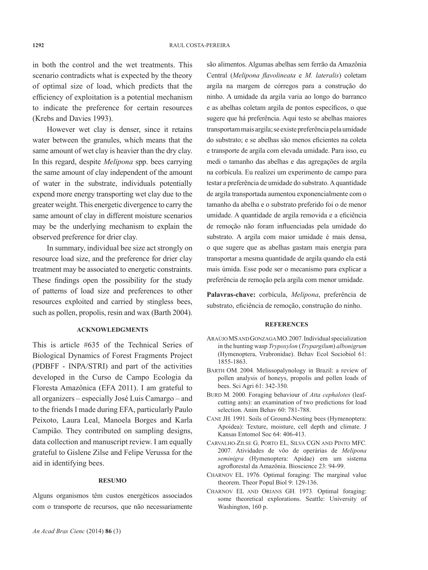in both the control and the wet treatments. This scenario contradicts what is expected by the theory of optimal size of load, which predicts that the efficiency of exploitation is a potential mechanism to indicate the preference for certain resources (Krebs and Davies 1993).

However wet clay is denser, since it retains water between the granules, which means that the same amount of wet clay is heavier than the dry clay. In this regard, despite *Melipona* spp. bees carrying the same amount of clay independent of the amount of water in the substrate, individuals potentially expend more energy transporting wet clay due to the greater weight. This energetic divergence to carry the same amount of clay in different moisture scenarios may be the underlying mechanism to explain the observed preference for drier clay.

In summary, individual bee size act strongly on resource load size, and the preference for drier clay treatment may be associated to energetic constraints. These findings open the possibility for the study of patterns of load size and preferences to other resources exploited and carried by stingless bees, such as pollen, propolis, resin and wax (Barth 2004).

## **ACKNOWLEDGMENTS**

This is article #635 of the Technical Series of Biological Dynamics of Forest Fragments Project (PDBFF - INPA/STRI) and part of the activities developed in the Curso de Campo Ecologia da Floresta Amazônica (EFA 2011). I am grateful to all organizers – especially José Luis Camargo – and to the friends I made during EFA, particularly Paulo Peixoto, Laura Leal, Manoela Borges and Karla Campião. They contributed on sampling designs, data collection and manuscript review. I am equally grateful to Gislene Zilse and Felipe Verussa for the aid in identifying bees.

#### **RESUMO**

Alguns organismos têm custos energéticos associados com o transporte de recursos, que não necessariamente são alimentos. Algumas abelhas sem ferrão da Amazônia Central (*Melipona flavolineata* e *M. lateralis*) coletam argila na margem de córregos para a construção do ninho. A umidade da argila varia ao longo do barranco e as abelhas coletam argila de pontos específicos, o que sugere que há preferência. Aqui testo se abelhas maiores transportam mais argila; se existe preferência pela umidade do substrato; e se abelhas são menos eficientes na coleta e transporte de argila com elevada umidade. Para isso, eu medi o tamanho das abelhas e das agregações de argila na corbícula. Eu realizei um experimento de campo para testar a preferência de umidade do substrato. A quantidade de argila transportada aumentou exponencialmente com o tamanho da abelha e o substrato preferido foi o de menor umidade. A quantidade de argila removida e a eficiência de remoção não foram influenciadas pela umidade do substrato. A argila com maior umidade é mais densa, o que sugere que as abelhas gastam mais energia para transportar a mesma quantidade de argila quando ela está mais úmida. Esse pode ser o mecanismo para explicar a preferência de remoção pela argila com menor umidade.

**Palavras-chave:** corbícula, *Melipona*, preferência de substrato, eficiência de remoção, construção do ninho.

#### **REFERENCES**

- ARAÚJO MS AND GONZAGA MO. 2007. Individual specialization in the hunting wasp *Trypoxylon* (*Trypargilum*) *albonigrum* (Hymenoptera, Vrabronidae). Behav Ecol Sociobiol 61: 1855-1863.
- BARTH OM. 2004. Melissopalynology in Brazil: a review of pollen analysis of honeys, propolis and pollen loads of bees. Sci Agri 61: 342-350.
- BURD M. 2000. Foraging behaviour of *Atta cephalotes* (leafcutting ants): an examination of two predictions for load selection. Anim Behav 60: 781-788.
- CANE JH. 1991. Soils of Ground-Nesting bees (Hymenoptera: Apoidea): Texture, moisture, cell depth and climate. J Kansas Entomol Soc 64: 406-413.
- CARVALHO-ZILSE G, PORTO EL, SILVA CGN AND PINTO MFC. 2007. Atividades de vôo de operárias de *Melipona seminigra* (Hymenoptera: Apidae) em um sistema agroflorestal da Amazônia. Bioscience 23: 94-99.
- CHARNOV EL. 1976. Optimal foraging: The marginal value theorem. Theor Popul Biol 9: 129-136.
- CHARNOV EL AND ORIANS GH. 1973. Optimal foraging: some theoretical explorations. Seattle: University of Washington, 160 p.